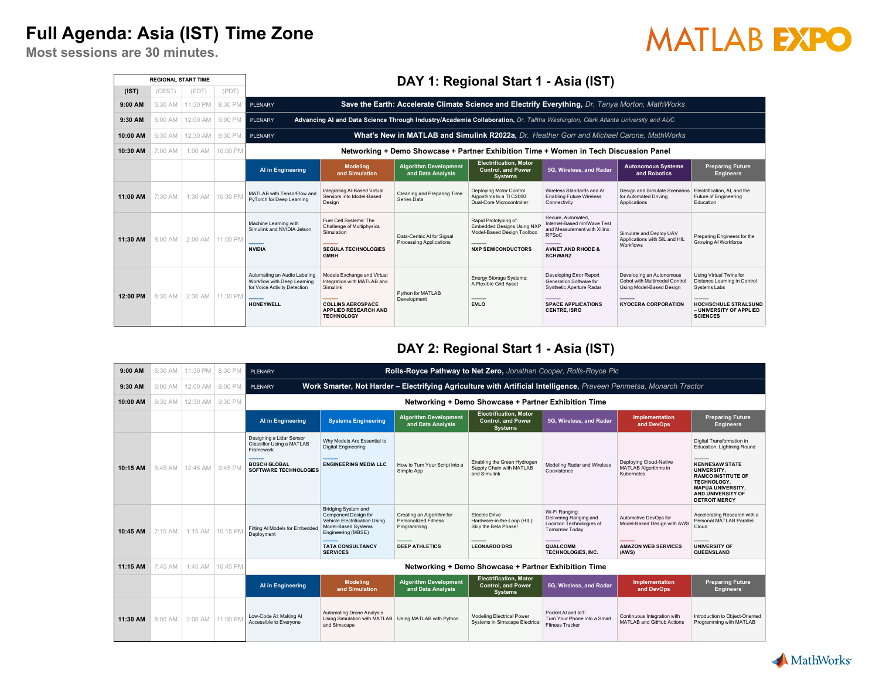### **Full Agenda: Asia (IST) Time Zone**

# **MATLAB EXPO**

**Most sessions are 30 minutes.**

|          | <b>REGIONAL START TIME</b> |          |                  | DAY 1: Regional Start 1 - Asia (IST)                                                                            |                                                                                                                                                        |                                                              |                                                                                                                                 |                                                                                                                                                   |                                                                                                                     |                                                                                                                                                      |  |  |  |
|----------|----------------------------|----------|------------------|-----------------------------------------------------------------------------------------------------------------|--------------------------------------------------------------------------------------------------------------------------------------------------------|--------------------------------------------------------------|---------------------------------------------------------------------------------------------------------------------------------|---------------------------------------------------------------------------------------------------------------------------------------------------|---------------------------------------------------------------------------------------------------------------------|------------------------------------------------------------------------------------------------------------------------------------------------------|--|--|--|
| (IST)    | (CEST)                     | (EDT)    | (PDT)            |                                                                                                                 |                                                                                                                                                        |                                                              |                                                                                                                                 |                                                                                                                                                   |                                                                                                                     |                                                                                                                                                      |  |  |  |
| 9:00 AM  | 5:30 AM                    | 11:30 PM | 8:30 PM          | <b>PLENARY</b>                                                                                                  |                                                                                                                                                        |                                                              | Save the Earth: Accelerate Climate Science and Electrify Everything, Dr. Tanya Morton, MathWorks                                |                                                                                                                                                   |                                                                                                                     |                                                                                                                                                      |  |  |  |
| 9:30 AM  | 6:00 AM                    | 12:00 AM | $9:00$ PM        | PLENARY                                                                                                         |                                                                                                                                                        |                                                              | Advancing AI and Data Science Through Industry/Academia Collaboration, Dr. Talitha Washington, Clark Atlanta University and AUC |                                                                                                                                                   |                                                                                                                     |                                                                                                                                                      |  |  |  |
| 10:00 AM | 6:30 AM                    | 12:30 AM | 9:30 PM          | PLENARY                                                                                                         | What's New in MATLAB and Simulink R2022a, Dr. Heather Gorr and Michael Carone, MathWorks                                                               |                                                              |                                                                                                                                 |                                                                                                                                                   |                                                                                                                     |                                                                                                                                                      |  |  |  |
| 10:30 AM | 7:00 AM                    | 1:00 AM  | 10:00 PM         |                                                                                                                 |                                                                                                                                                        |                                                              | Networking + Demo Showcase + Partner Exhibition Time + Women in Tech Discussion Panel                                           |                                                                                                                                                   |                                                                                                                     |                                                                                                                                                      |  |  |  |
|          |                            |          |                  | Al in Engineering                                                                                               | <b>Modelina</b><br>and Simulation                                                                                                                      | <b>Algorithm Development</b><br>and Data Analysis            | <b>Electrification, Motor</b><br><b>Control, and Power</b><br><b>Systems</b>                                                    | 5G, Wireless, and Radar                                                                                                                           | <b>Autonomous Systems</b><br>and Robotics                                                                           | <b>Preparing Future</b><br><b>Engineers</b>                                                                                                          |  |  |  |
| 11:00 AM | 7:30 AM                    | 1:30 AM  | 10:30 PM         | MATLAB with TensorFlow and<br>PyTorch for Deep Learning                                                         | Integrating Al-Based Virtual<br>Sensors into Model-Based<br>Design                                                                                     | Cleaning and Preparing Time<br>Series Data                   | Deploying Motor Control<br>Algorithms to a TI C2000<br>Dual-Core Microcontroller                                                | Wireless Standards and AI:<br><b>Enabling Future Wireless</b><br>Connectivity                                                                     | Design and Simulate Scenarios<br>for Automated Driving<br>Applications                                              | Electrification, AI, and the<br>Future of Engineering<br>Education                                                                                   |  |  |  |
| 11:30 AM | 8:00 AM                    | 2:00 AM  | 11:00 PM         | Machine Learning with<br>Simulink and NVIDIA Jetson<br><b>NVIDIA</b>                                            | Fuel Cell Systems: The<br>Challenge of Multiphysics<br>Simulation<br><b>SEGULA TECHNOLOGIES</b><br><b>GMBH</b>                                         | Data-Centric Al for Signal<br><b>Processing Applications</b> | Rapid Prototyping of<br><b>Embedded Designs Using NXF</b><br>Model-Based Design Toolbox<br><b>NXP SEMICONDUCTORS</b>            | Secure, Automated.<br>Internet-Based mmWave Test<br>and Measurement with Xilinx<br><b>RFSoC</b><br><b>AVNET AND RHODE &amp;</b><br><b>SCHWARZ</b> | Simulate and Deploy UAV<br>Applications with SIL and HIL<br>Workflows                                               | Preparing Engineers for the<br>Growing AI Workforce                                                                                                  |  |  |  |
| 12:00 PM | 8:30 AM                    |          | 2:30 AM 11:30 PM | Automating an Audio Labeling<br>Workflow with Deep Learning<br>for Voice Activity Detection<br><b>HONEYWELL</b> | Models Exchange and Virtual<br>Integration with MATLAB and<br>Simulink<br><b>COLLINS AEROSPACE</b><br><b>APPLIED RESEARCH AND</b><br><b>TECHNOLOGY</b> | Python for MATLAB<br>Development                             | Energy Storage Systems:<br>A Flexible Grid Asset<br><b>EVLO</b>                                                                 | Developing Error Report<br>Generation Software for<br>Synthetic Aperture Radar<br><b>SPACE APPLICATIONS</b><br><b>CENTRE, ISRO</b>                | Developing an Autonomous<br>Cobot with Multimodal Control<br>Using Model-Based Design<br><b>KYOCERA CORPORATION</b> | Using Virtual Twins for<br>Distance Learning in Control<br>Systems Labs<br><b>HOCHSCHULE STRALSUND</b><br>- UNIVERSITY OF APPLIED<br><b>SCIENCES</b> |  |  |  |

#### **DAY 2: Regional Start 1 - Asia (IST)**

| 9:00 AM  | 5:30 AM | 11:30 PM  | 8:30 PM  | PLENARY                                                                                                                   | Rolls-Royce Pathway to Net Zero, Jonathan Cooper, Rolls-Royce Plc                                                                                                              |                                                                                                  |                                                                                              |                                                                                                                                        |                                                                                                                     |                                                                                                                                                                                                                             |  |  |  |
|----------|---------|-----------|----------|---------------------------------------------------------------------------------------------------------------------------|--------------------------------------------------------------------------------------------------------------------------------------------------------------------------------|--------------------------------------------------------------------------------------------------|----------------------------------------------------------------------------------------------|----------------------------------------------------------------------------------------------------------------------------------------|---------------------------------------------------------------------------------------------------------------------|-----------------------------------------------------------------------------------------------------------------------------------------------------------------------------------------------------------------------------|--|--|--|
| 9:30 AM  | 6:00 AM | 12:00 AM  | 9:00 PM  | PLENARY                                                                                                                   |                                                                                                                                                                                |                                                                                                  |                                                                                              |                                                                                                                                        | Work Smarter, Not Harder - Electrifying Agriculture with Artificial Intelligence, Praveen Penmetsa, Monarch Tractor |                                                                                                                                                                                                                             |  |  |  |
| 10:00 AM | 6:30 AM | 12:30 AM  | 9:30 PM  |                                                                                                                           | Networking + Demo Showcase + Partner Exhibition Time                                                                                                                           |                                                                                                  |                                                                                              |                                                                                                                                        |                                                                                                                     |                                                                                                                                                                                                                             |  |  |  |
|          |         |           |          | <b>Al in Engineering</b>                                                                                                  | <b>Systems Engineering</b>                                                                                                                                                     | <b>Algorithm Development</b><br>and Data Analysis                                                | <b>Electrification. Motor</b><br><b>Control, and Power</b><br><b>Systems</b>                 | 5G, Wireless, and Radar                                                                                                                | Implementation<br>and DevOps                                                                                        | <b>Preparing Future</b><br><b>Engineers</b>                                                                                                                                                                                 |  |  |  |
| 10:15 AM | 6:45 AM | 12:45 AM  | 9:45 PM  | Designing a Lidar Sensor<br>Classifier Using a MATLAB<br>Framework<br><b>BOSCH GLOBAL</b><br><b>SOFTWARE TECHNOLOGIES</b> | Why Models Are Essential to<br>Digital Engineering<br><b>ENGINEERING MEDIA LLC</b>                                                                                             | How to Turn Your Script into a<br>Simple App                                                     | Enabling the Green Hydrogen<br>Supply Chain with MATLAB<br>and Simulink                      | Modeling Radar and Wireless<br>Coexistence                                                                                             | Deploying Cloud-Native<br>MATLAB Algorithms in<br>Kubernetes                                                        | Digital Transformation in<br>Education: Lightning Round<br><b>KENNESAW STATE</b><br>UNIVERSITY.<br><b>RAMCO INSTITUTE OF</b><br><b>TECHNOLOGY,</b><br><b>MAPÚA UNIVERSITY,</b><br>AND UNIVERSITY OF<br><b>DETROIT MERCY</b> |  |  |  |
| 10:45 AM | 7:15 AM | $1:15$ AM | 10:15 PM | Fitting AI Models for Embedded<br>Deployment                                                                              | <b>Bridging System and</b><br>Component Design for<br>Vehicle Electrification Using<br>Model-Based Systems<br>Engineering (MBSE)<br><b>TATA CONSULTANCY</b><br><b>SERVICES</b> | Creating an Algorithm for<br><b>Personalized Fitness</b><br>Programming<br><b>DEEP ATHLETICS</b> | Flectric Drive<br>Hardware-in-the-Loop (HIL):<br>Skip the Beta Phase!<br><b>LEONARDO DRS</b> | Wi-Fi Ranging:<br>Delivering Ranging and<br>Location Technologies of<br><b>Tomorrow Todav</b><br>QUALCOMM<br><b>TECHNOLOGIES, INC.</b> | Automotive DevOps for<br>Model-Based Design with AWS<br><b>AMAZON WEB SERVICES</b><br>(AWS)                         | Accelerating Research with a<br>Personal MATLAB Parallel<br>Cloud<br><b>UNIVERSITY OF</b><br>QUEENSLAND                                                                                                                     |  |  |  |
| 11:15 AM | 7:45 AM | 1:45 AM   | 10:45 PM |                                                                                                                           |                                                                                                                                                                                |                                                                                                  | Networking + Demo Showcase + Partner Exhibition Time                                         |                                                                                                                                        |                                                                                                                     |                                                                                                                                                                                                                             |  |  |  |
|          |         |           |          | Al in Engineering                                                                                                         | <b>Modeling</b><br>and Simulation                                                                                                                                              | <b>Algorithm Development</b><br>and Data Analysis                                                | <b>Electrification. Motor</b><br><b>Control, and Power</b><br><b>Systems</b>                 | 5G. Wireless, and Radar                                                                                                                | Implementation<br>and DevOps                                                                                        | <b>Preparing Future</b><br><b>Engineers</b>                                                                                                                                                                                 |  |  |  |
| 11:30 AM | 8:00 AM | 2:00 AM   | 11:00 PM | Low-Code AI: Making AI<br>Accessible to Everyone                                                                          | <b>Automating Drone Analysis</b><br>Using Simulation with MATLAB   Using MATLAB with Python<br>and Simscape                                                                    |                                                                                                  | Modeling Electrical Power<br>Systems in Simscape Electrical                                  | Pocket AI and IoT:<br>Turn Your Phone into a Smart<br><b>Fitness Tracker</b>                                                           | Continuous Integration with<br>MATLAB and GitHub Actions                                                            | Introduction to Obiect-Oriented<br>Programming with MATLAB                                                                                                                                                                  |  |  |  |

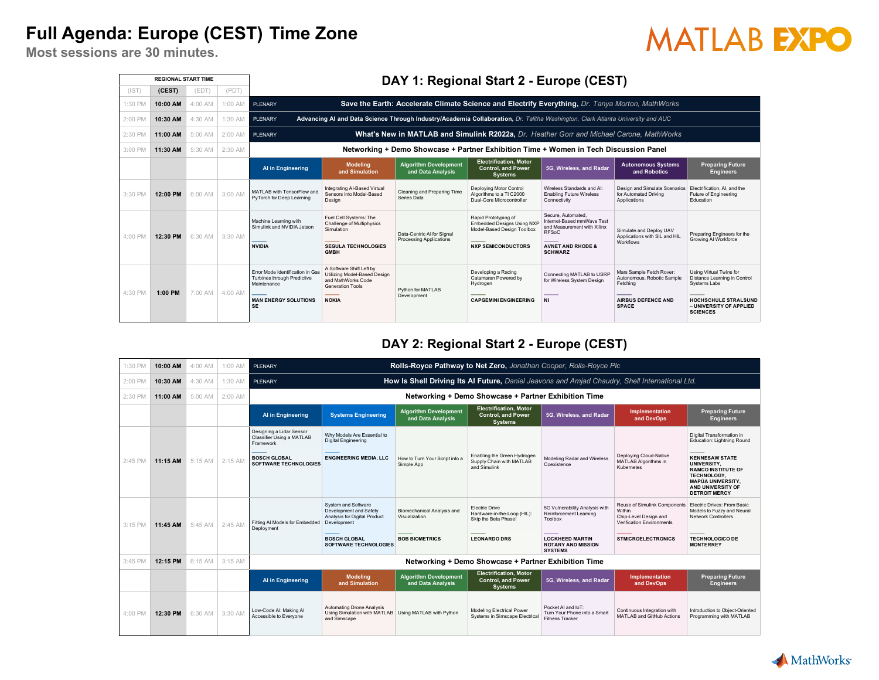## **Full Agenda: Europe (CEST) Time Zone**

# **MATLAB EXPO**

**Most sessions are 30 minutes.**

|         | <b>REGIONAL START TIME</b> |         |           | DAY 1: Regional Start 2 - Europe (CEST)                                                                                    |                                                                                                                                 |                                                              |                                                                                                                      |                                                                                                                                                   |                                                                                                                 |                                                                                                                                               |  |  |  |  |
|---------|----------------------------|---------|-----------|----------------------------------------------------------------------------------------------------------------------------|---------------------------------------------------------------------------------------------------------------------------------|--------------------------------------------------------------|----------------------------------------------------------------------------------------------------------------------|---------------------------------------------------------------------------------------------------------------------------------------------------|-----------------------------------------------------------------------------------------------------------------|-----------------------------------------------------------------------------------------------------------------------------------------------|--|--|--|--|
| (IST)   | (CEST)                     | (EDT)   | (PDT)     |                                                                                                                            |                                                                                                                                 |                                                              |                                                                                                                      |                                                                                                                                                   |                                                                                                                 |                                                                                                                                               |  |  |  |  |
| 1:30 PM | 10:00 AM                   | 4:00 AM | 1:00 AM   | PLENARY                                                                                                                    |                                                                                                                                 |                                                              | Save the Earth: Accelerate Climate Science and Electrify Everything, Dr. Tanya Morton, MathWorks                     |                                                                                                                                                   |                                                                                                                 |                                                                                                                                               |  |  |  |  |
| 2:00 PM | 10:30 AM                   | 4:30 AM | $1:30$ AM | PLENARY                                                                                                                    | Advancing AI and Data Science Through Industry/Academia Collaboration, Dr. Talitha Washington, Clark Atlanta University and AUC |                                                              |                                                                                                                      |                                                                                                                                                   |                                                                                                                 |                                                                                                                                               |  |  |  |  |
| 2:30 PM | 11:00 AM                   | 5:00 AM | 2:00 AM   | PLENARY                                                                                                                    | What's New in MATLAB and Simulink R2022a, Dr. Heather Gorr and Michael Carone, MathWorks                                        |                                                              |                                                                                                                      |                                                                                                                                                   |                                                                                                                 |                                                                                                                                               |  |  |  |  |
| 3:00 PM | 11:30 AM                   | 5:30 AM | 2:30 AM   |                                                                                                                            | Networking + Demo Showcase + Partner Exhibition Time + Women in Tech Discussion Panel                                           |                                                              |                                                                                                                      |                                                                                                                                                   |                                                                                                                 |                                                                                                                                               |  |  |  |  |
|         |                            |         |           | <b>Al in Engineering</b>                                                                                                   | <b>Modelina</b><br>and Simulation                                                                                               | <b>Algorithm Development</b><br>and Data Analysis            | <b>Electrification. Motor</b><br><b>Control, and Power</b><br><b>Systems</b>                                         | 5G. Wireless, and Radar                                                                                                                           | <b>Autonomous Systems</b><br>and Robotics                                                                       | <b>Preparing Future</b><br><b>Engineers</b>                                                                                                   |  |  |  |  |
| 3:30 PM | 12:00 PM                   | 6:00 AM | 3:00 AM   | MATLAB with TensorFlow and<br>PvTorch for Deep Learning                                                                    | Integrating Al-Based Virtual<br>Sensors into Model-Based<br>Design                                                              | Cleaning and Preparing Time<br>Series Data                   | Deploying Motor Control<br>Algorithms to a TI C2000<br>Dual-Core Microcontroller                                     | Wireless Standards and Al:<br><b>Enabling Future Wireless</b><br>Connectivity                                                                     | Design and Simulate Scenarios<br>for Automated Driving<br>Applications                                          | Electrification, AI, and the<br>Future of Engineering<br>Education                                                                            |  |  |  |  |
| 4:00 PM | 12:30 PM                   | 6:30 AM | 3:30 AM   | Machine Learning with<br>Simulink and NVIDIA Jetson<br><b>NVIDIA</b>                                                       | Fuel Cell Systems: The<br>Challenge of Multiphysics<br>Simulation<br><b>SEGULA TECHNOLOGIES</b><br><b>GMBH</b>                  | Data-Centric Al for Signal<br><b>Processing Applications</b> | Rapid Prototyping of<br><b>Embedded Designs Using NXP</b><br>Model-Based Design Toolbox<br><b>NXP SEMICONDUCTORS</b> | Secure, Automated.<br>Internet-Based mmWave Test<br>and Measurement with Xilinx<br><b>RFSoC</b><br><b>AVNET AND RHODE &amp;</b><br><b>SCHWARZ</b> | Simulate and Deploy UAV<br>Applications with SIL and HIL<br>Workflows                                           | Preparing Engineers for the<br><b>Growing AI Workforce</b>                                                                                    |  |  |  |  |
| 4:30 PM | 1:00 PM                    | 7:00 AM | 4:00 AM   | Error Mode Identification in Gas<br>Turbines through Predictive<br>Maintenance<br><b>MAN ENERGY SOLUTIONS</b><br><b>SE</b> | A Software Shift Left by<br>Utilizing Model-Based Design<br>and MathWorks Code<br><b>Generation Tools</b><br><b>NOKIA</b>       | Python for MATLAB<br>Development                             | Developing a Racing<br>Catamaran Powered by<br>Hydrogen<br><b>CAPGEMINI ENGINEERING</b>                              | Connecting MATLAB to USRF<br>for Wireless System Design<br><b>NI</b>                                                                              | Mars Sample Fetch Rover:<br>Autonomous, Robotic Sample<br>Fetching<br><b>AIRBUS DEFENCE AND</b><br><b>SPACE</b> | Using Virtual Twins for<br>Distance Learning in Control<br>Systems Labs<br>HOCHSCHULE STRALSUND<br>- UNIVERSITY OF APPLIED<br><b>SCIENCES</b> |  |  |  |  |

#### **DAY 2: Regional Start 2 - Europe (CEST)**

| 1:30 PM | 10:00 AM | 4:00 AM | 1:00 AM   | PLENARY                                                            | Rolls-Royce Pathway to Net Zero, Jonathan Cooper, Rolls-Royce Plc                                    |                                                    |                                                                                                |                                                                              |                                                                                              |                                                                                                                                                           |  |  |  |
|---------|----------|---------|-----------|--------------------------------------------------------------------|------------------------------------------------------------------------------------------------------|----------------------------------------------------|------------------------------------------------------------------------------------------------|------------------------------------------------------------------------------|----------------------------------------------------------------------------------------------|-----------------------------------------------------------------------------------------------------------------------------------------------------------|--|--|--|
| 2:00 PM | 10:30 AM | 4:30 AM | 1:30 AM   | <b>PLENARY</b>                                                     |                                                                                                      |                                                    | How Is Shell Driving Its Al Future, Daniel Jeavons and Amjad Chaudry, Shell International Ltd. |                                                                              |                                                                                              |                                                                                                                                                           |  |  |  |
| 2:30 PM | 11:00 AM | 5:00 AM | 2:00 AM   |                                                                    |                                                                                                      |                                                    | Networking + Demo Showcase + Partner Exhibition Time                                           |                                                                              |                                                                                              |                                                                                                                                                           |  |  |  |
|         |          |         |           | Al in Engineering                                                  | <b>Systems Engineering</b>                                                                           | <b>Algorithm Development</b><br>and Data Analysis  | <b>Electrification, Motor</b><br><b>Control, and Power</b><br><b>Systems</b>                   | 5G, Wireless, and Radar                                                      | Implementation<br>and DevOps                                                                 | <b>Preparing Future</b><br><b>Engineers</b>                                                                                                               |  |  |  |
|         |          |         |           | Designing a Lidar Sensor<br>Classifier Using a MATLAB<br>Framework | Why Models Are Essential to<br><b>Digital Engineering</b>                                            |                                                    |                                                                                                |                                                                              |                                                                                              | Digital Transformation in<br>Education: Lightning Round                                                                                                   |  |  |  |
| 2:45 PM | 11:15 AM | 5:15 AM | 2:15 AM   | <b>BOSCH GLOBAL</b><br><b>SOFTWARE TECHNOLOGIES</b>                | <b>ENGINEERING MEDIA, LLC</b>                                                                        | How to Turn Your Script into a<br>Simple App       | Enabling the Green Hydrogen<br>Supply Chain with MATLAB<br>and Simulink                        | Modeling Radar and Wireless<br>Coexistence                                   | Deploying Cloud-Native<br><b>MATLAB Algorithms in</b><br>Kubernetes                          | <b>KENNESAW STATE</b><br>UNIVERSITY.<br><b>RAMCO INSTITUTE OF</b><br>TECHNOLOGY.<br><b>MAPÚA UNIVERSITY.</b><br>AND UNIVERSITY OF<br><b>DETROIT MERCY</b> |  |  |  |
| 3:15 PM | 11:45 AM | 5:45 AM | 2:45 AM   | Fitting AI Models for Embedded<br>Deployment                       | System and Software<br>Development and Safety<br>Analysis for Digital Product<br>Development         | <b>Biomechanical Analysis and</b><br>Visualization | Electric Drive<br>Hardware-in-the-Loop (HIL):<br>Skip the Beta Phase!                          | 5G Vulnerability Analysis with<br>Reinforcement Learning<br>Toolbox          | Reuse of Simulink Components<br>Within<br>Chip-Level Design and<br>Verification Environments | Electric Drives: From Basic<br>Models to Fuzzy and Neural<br><b>Network Controllers</b>                                                                   |  |  |  |
|         |          |         |           |                                                                    | <b>BOSCH GLOBAL</b><br><b>SOFTWARE TECHNOLOGIES</b>                                                  | <b>BOB BIOMETRICS</b>                              | <b>LEONARDO DRS</b>                                                                            | <b>LOCKHEED MARTIN</b><br><b>ROTARY AND MISSION</b><br><b>SYSTEMS</b>        | <b>STMICROELECTRONICS</b>                                                                    | <b>TECHNOLOGICO DE</b><br><b>MONTERREY</b>                                                                                                                |  |  |  |
| 3:45 PM | 12:15 PM | 6:15 AM | $3:15$ AM |                                                                    |                                                                                                      |                                                    | Networking + Demo Showcase + Partner Exhibition Time                                           |                                                                              |                                                                                              |                                                                                                                                                           |  |  |  |
|         |          |         |           | <b>Al in Engineering</b>                                           | <b>Modelina</b><br>and Simulation                                                                    | <b>Algorithm Development</b><br>and Data Analysis  | <b>Electrification. Motor</b><br><b>Control, and Power</b><br><b>Systems</b>                   | 5G, Wireless, and Radar                                                      | Implementation<br>and DevOps                                                                 | <b>Preparing Future</b><br><b>Engineers</b>                                                                                                               |  |  |  |
| 4:00 PM | 12:30 PM | 6:30 AM | 3:30 AM   | Low-Code AI: Making AI<br>Accessible to Everyone                   | Automating Drone Analysis<br>Using Simulation with MATLAB   Using MATLAB with Python<br>and Simscape |                                                    | Modeling Electrical Power<br>Systems in Simscape Electrical                                    | Pocket AI and IoT:<br>Turn Your Phone into a Smart<br><b>Fitness Tracker</b> | Continuous Integration with<br>MATI AB and GitHub Actions                                    | Introduction to Object-Oriented<br>Programming with MATLAB                                                                                                |  |  |  |

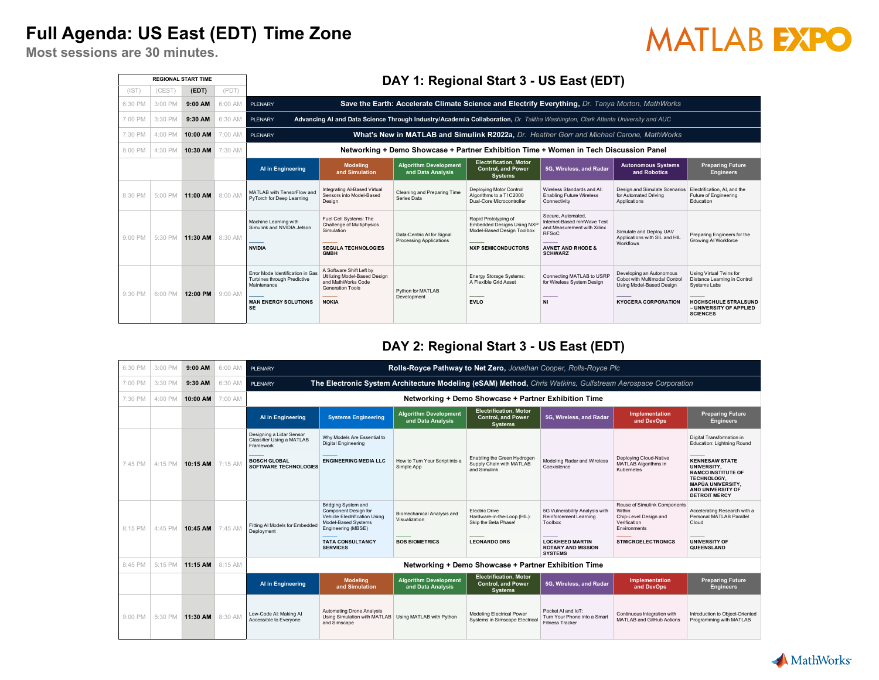## **Full Agenda: US East (EDT) Time Zone**

## **MATLAB EXPO**

**Most sessions are 30 minutes.**

|         |         | <b>REGIONAL START TIME</b> |           | DAY 1: Regional Start 3 - US East (EDT)                                                                                           |                                                                                                                                 |                                                              |                                                                                                                      |                                                                                                                                                   |                                                                                                                     |                                                                                                                                                      |  |  |  |  |
|---------|---------|----------------------------|-----------|-----------------------------------------------------------------------------------------------------------------------------------|---------------------------------------------------------------------------------------------------------------------------------|--------------------------------------------------------------|----------------------------------------------------------------------------------------------------------------------|---------------------------------------------------------------------------------------------------------------------------------------------------|---------------------------------------------------------------------------------------------------------------------|------------------------------------------------------------------------------------------------------------------------------------------------------|--|--|--|--|
| (IST)   | (CEST)  | (EDT)                      | (PDT)     |                                                                                                                                   |                                                                                                                                 |                                                              |                                                                                                                      |                                                                                                                                                   |                                                                                                                     |                                                                                                                                                      |  |  |  |  |
| 6:30 PM | 3:00 PM | 9:00 AM                    | 6:00 AM   | PLENARY                                                                                                                           |                                                                                                                                 |                                                              | Save the Earth: Accelerate Climate Science and Electrify Everything, Dr. Tanya Morton, MathWorks                     |                                                                                                                                                   |                                                                                                                     |                                                                                                                                                      |  |  |  |  |
| 7:00 PM | 3:30 PM | 9:30 AM                    | 6:30 AM   | <b>PLENARY</b>                                                                                                                    | Advancing AI and Data Science Through Industry/Academia Collaboration, Dr. Talitha Washington, Clark Atlanta University and AUC |                                                              |                                                                                                                      |                                                                                                                                                   |                                                                                                                     |                                                                                                                                                      |  |  |  |  |
| 7:30 PM | 4:00 PM | 10:00 AM                   | 7:00 AM   | <b>PLENARY</b>                                                                                                                    | <b>What's New in MATLAB and Simulink R2022a, Dr. Heather Gorr and Michael Carone, MathWorks</b>                                 |                                                              |                                                                                                                      |                                                                                                                                                   |                                                                                                                     |                                                                                                                                                      |  |  |  |  |
| 8:00 PM | 4:30 PM | 10:30 AM                   | 7:30 AM   |                                                                                                                                   | Networking + Demo Showcase + Partner Exhibition Time + Women in Tech Discussion Panel                                           |                                                              |                                                                                                                      |                                                                                                                                                   |                                                                                                                     |                                                                                                                                                      |  |  |  |  |
|         |         |                            |           | <b>Al in Engineering</b>                                                                                                          | <b>Modeling</b><br>and Simulation                                                                                               | <b>Algorithm Development</b><br>and Data Analysis            | <b>Electrification, Motor</b><br><b>Control, and Power</b><br><b>Systems</b>                                         | 5G, Wireless, and Radar                                                                                                                           | <b>Autonomous Systems</b><br>and Robotics                                                                           | <b>Preparing Future</b><br><b>Engineers</b>                                                                                                          |  |  |  |  |
| 8:30 PM | 5:00 PM | 11:00 AM                   | 8:00 AM   | MATLAB with TensorFlow and<br>PyTorch for Deep Learning                                                                           | Integrating Al-Based Virtual<br>Sensors into Model-Based<br>Design                                                              | Cleaning and Preparing Time<br>Series Data                   | Deploying Motor Control<br>Algorithms to a TI C2000<br>Dual-Core Microcontroller                                     | Wireless Standards and Al:<br><b>Enabling Future Wireless</b><br>Connectivity                                                                     | Design and Simulate Scenarios<br>for Automated Driving<br>Applications                                              | Electrification, AI, and the<br>Future of Engineering<br>Education                                                                                   |  |  |  |  |
| 9:00 PM | 5:30 PM | 11:30 AM                   | 8:30 AM   | Machine Learning with<br>Simulink and NVIDIA Jetson<br><b>NVIDIA</b>                                                              | Fuel Cell Systems: The<br>Challenge of Multiphysics<br>Simulation<br><b>SEGULA TECHNOLOGIES</b><br><b>GMBH</b>                  | Data-Centric AI for Signal<br><b>Processing Applications</b> | Rapid Prototyping of<br><b>Embedded Designs Using NXP</b><br>Model-Based Design Toolbox<br><b>NXP SEMICONDUCTORS</b> | Secure, Automated.<br>Internet-Based mmWave Test<br>and Measurement with Xilinx<br><b>RFSoC</b><br><b>AVNET AND RHODE &amp;</b><br><b>SCHWARZ</b> | Simulate and Deploy UAV<br>Applications with SIL and HIL<br>Workflows                                               | Preparing Engineers for the<br>Growing AI Workforce                                                                                                  |  |  |  |  |
| 9:30 PM | 6:00 PM | 12:00 PM                   | $9:00$ AM | Error Mode Identification in Gas<br><b>Turbines through Predictive</b><br>Maintenance<br><b>MAN ENERGY SOLUTIONS</b><br><b>SE</b> | A Software Shift Left by<br>Utilizing Model-Based Design<br>and MathWorks Code<br><b>Generation Tools</b><br><b>NOKIA</b>       | Python for MATLAB<br>Development                             | Energy Storage Systems:<br>A Flexible Grid Asset<br><b>EVLO</b>                                                      | Connecting MATLAB to USRP<br>for Wireless System Design<br><b>NI</b>                                                                              | Developing an Autonomous<br>Cobot with Multimodal Control<br>Using Model-Based Design<br><b>KYOCERA CORPORATION</b> | Using Virtual Twins for<br>Distance Learning in Control<br>Systems Labs<br><b>HOCHSCHULE STRALSUND</b><br>- UNIVERSITY OF APPLIED<br><b>SCIENCES</b> |  |  |  |  |

#### **DAY 2: Regional Start 3 - US East (EDT)**

| 6:30 PM | 3:00 PM | 9:00 AM  | 6:00 AM | PLENARY                                                            | Rolls-Royce Pathway to Net Zero, Jonathan Cooper, Rolls-Royce Plc                                                                |                                                    |                                                                              |                                                                              |                                                                                                            |                                                                                                                                                           |  |  |  |
|---------|---------|----------|---------|--------------------------------------------------------------------|----------------------------------------------------------------------------------------------------------------------------------|----------------------------------------------------|------------------------------------------------------------------------------|------------------------------------------------------------------------------|------------------------------------------------------------------------------------------------------------|-----------------------------------------------------------------------------------------------------------------------------------------------------------|--|--|--|
| 7:00 PM | 3:30 PM | 9:30 AM  | 6:30 AM | <b>PLENARY</b>                                                     |                                                                                                                                  |                                                    |                                                                              |                                                                              | The Electronic System Architecture Modeling (eSAM) Method, Chris Watkins, Gulfstream Aerospace Corporation |                                                                                                                                                           |  |  |  |
| 7:30 PM | 4:00 PM | 10:00 AM | 7:00 AM |                                                                    | Networking + Demo Showcase + Partner Exhibition Time                                                                             |                                                    |                                                                              |                                                                              |                                                                                                            |                                                                                                                                                           |  |  |  |
|         |         |          |         | <b>Al in Engineering</b>                                           | <b>Systems Engineering</b>                                                                                                       | <b>Algorithm Development</b><br>and Data Analysis  | <b>Electrification, Motor</b><br><b>Control. and Power</b><br><b>Systems</b> | 5G. Wireless, and Radar                                                      | Implementation<br>and DevOps                                                                               | <b>Preparing Future</b><br><b>Engineers</b>                                                                                                               |  |  |  |
|         |         |          |         | Designing a Lidar Sensor<br>Classifier Using a MATLAB<br>Framework | Why Models Are Essential to<br><b>Digital Engineering</b>                                                                        |                                                    |                                                                              |                                                                              |                                                                                                            | Digital Transformation in<br>Education: Lightning Round                                                                                                   |  |  |  |
| 7:45 PM | 4:15 PM | 10:15 AM | 7:15 AN | <b>BOSCH GLOBAL</b><br><b>SOFTWARE TECHNOLOGIES</b>                | <b>ENGINEERING MEDIA LLC</b>                                                                                                     | How to Turn Your Script into a<br>Simple App       | Enabling the Green Hydrogen<br>Supply Chain with MATLAB<br>and Simulink      | Modeling Radar and Wireless<br>Coexistence                                   | Deploying Cloud-Native<br>MATLAB Algorithms in<br>Kubernetes                                               | <b>KENNESAW STATE</b><br>UNIVERSITY.<br><b>RAMCO INSTITUTE OF</b><br>TECHNOLOGY.<br><b>MAPÚA UNIVERSITY.</b><br>AND UNIVERSITY OF<br><b>DETROIT MERCY</b> |  |  |  |
| 8:15 PM | 4:45 PM | 10:45 AM | 7:45 AM | Fitting AI Models for Embedded<br>Deployment                       | <b>Bridging System and</b><br>Component Design for<br>Vehicle Electrification Using<br>Model-Based Systems<br>Engineering (MBSE) | <b>Biomechanical Analysis and</b><br>Visualization | Electric Drive<br>Hardware-in-the-Loop (HIL):<br>Skip the Beta Phase!        | 5G Vulnerability Analysis with<br>Reinforcement Learning<br>Toolbox          | Reuse of Simulink Components<br>Within<br>Chip-Level Design and<br>Verification<br>Environments            | Accelerating Research with a<br>Personal MATLAB Parallel<br>Cloud                                                                                         |  |  |  |
|         |         |          |         |                                                                    | <b>TATA CONSULTANCY</b><br><b>SERVICES</b>                                                                                       | <b>BOB BIOMETRICS</b>                              | <b>LEONARDO DRS</b>                                                          | <b>LOCKHEED MARTIN</b><br><b>ROTARY AND MISSION</b><br><b>SYSTEMS</b>        | <b>STMICROELECTRONICS</b>                                                                                  | <b>UNIVERSITY OF</b><br>QUEENSLAND                                                                                                                        |  |  |  |
| 8:45 PM | 5:15 PM | 11:15 AM | 8:15 AM |                                                                    |                                                                                                                                  |                                                    | Networking + Demo Showcase + Partner Exhibition Time                         |                                                                              |                                                                                                            |                                                                                                                                                           |  |  |  |
|         |         |          |         | Al in Engineering                                                  | <b>Modelina</b><br>and Simulation                                                                                                | <b>Algorithm Development</b><br>and Data Analysis  | <b>Electrification. Motor</b><br><b>Control, and Power</b><br><b>Systems</b> | 5G, Wireless, and Radar                                                      | Implementation<br>and DevOps                                                                               | <b>Preparing Future</b><br><b>Engineers</b>                                                                                                               |  |  |  |
| 9:00 PM | 5:30 PM | 11:30 AM | 8:30 AM | Low-Code AI: Making AI<br>Accessible to Evervone                   | <b>Automating Drone Analysis</b><br>Using Simulation with MATLAB   Using MATLAB with Python<br>and Simscape                      |                                                    | Modeling Electrical Power<br>Systems in Simscape Electrical                  | Pocket AI and IoT:<br>Turn Your Phone into a Smart<br><b>Fitness Tracker</b> | Continuous Integration with<br>MATLAB and GitHub Actions                                                   | Introduction to Obiect-Oriented<br>Programming with MATLAB                                                                                                |  |  |  |